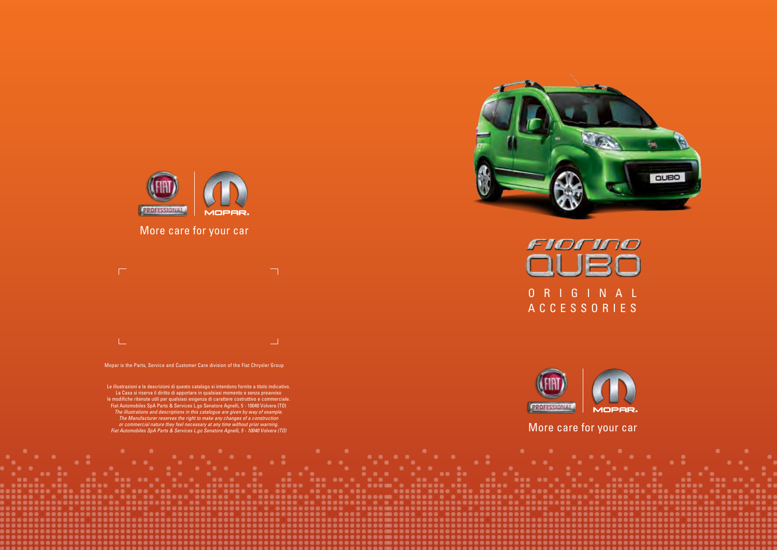Le illustrazioni e le descrizioni di questo catalogo si intendono fornite a titolo indicativo. La Casa si riserva il diritto di apportare in qualsiasi momento e senza preavviso le modifiche ritenute utili per qualsiasi esigenza di carattere costruttivo e commerciale. Fiat Automobiles SpA Parts & Services L.go Senatore Agnelli, 5 - 10040 Volvera (TO) *The illustrations and descriptions in this catalogue are given by way of example. The Manufacturer reserves the right to make any changes of a construction or commercial nature they feel necessary at any time without prior warning. Fiat Automobiles SpA Parts & Services L.go Senatore Agnelli, 5 - 10040 Volvera (TO)*





Mopar is the Parts, Service and Customer Care division of the Fiat Chrysler Group







More care for your car



# More care for your car

 $\Box$  $\mathbb{L}$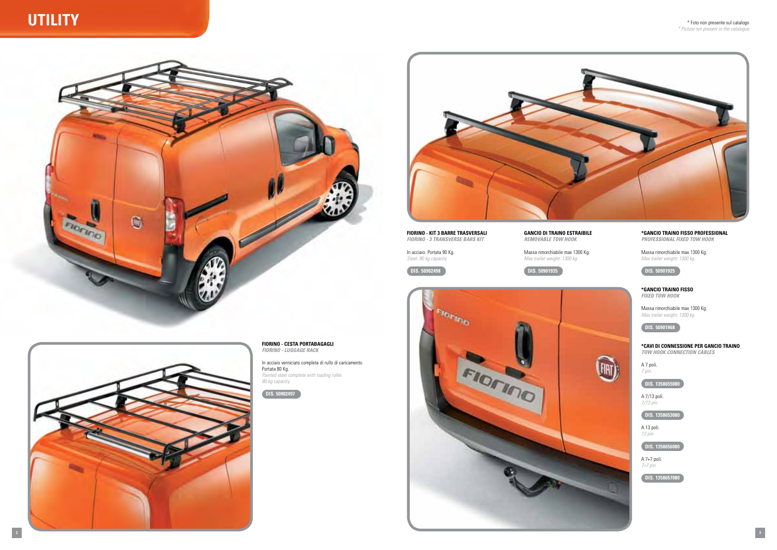

# **Utility**



**fiorino - cesta portabagagli** *fiorino - Luggage rack*

In acciaio verniciato completa di rullo di caricamento Portata 80 Kg. *Painted steel complete with loading roller. 80 kg capacity.*





### **\*gancio traino fisso Professional** *Professional fixed tow hook*

Massa rimorchiabile max 1300 Kg. *Max trailer weight: 1300 kg.*

**DIS . 50901925**

#### **\*gancio traino fisso** *Fixed tow hook*

Massa rimorchiabile max 1300 Kg. *Max trailer weight: 1300 kg.*

**DIS . 50901968**

**\*cavi di connessione per gancio traino** *Tow hook connection cables*

A 7 poli. *7 pin.*

(FIRT)

**DIS . 1358655080**

A 7/13 poli. *7/13 pin.*

**DIS . 1358653080** 

A 13 poli. *13 pin.*

**DIS . 1358656080**

A 7+7 poli. *7+7 pin.*

**DIS . 1358657080**

**fiorino - KIT 3 BARRE TRASVERSALI** *fiorino - 3 transverse bars kit*

In acciaio. Portata 90 Kg. *Steel. 90 kg capacity.*

**DIS . 50902498**

**GANCIO DI TRAINO ESTRAIBILE** *Removable tow hook*

Massa rimorchiabile max 1300 Kg. *Max trailer weight: 1300 kg.*



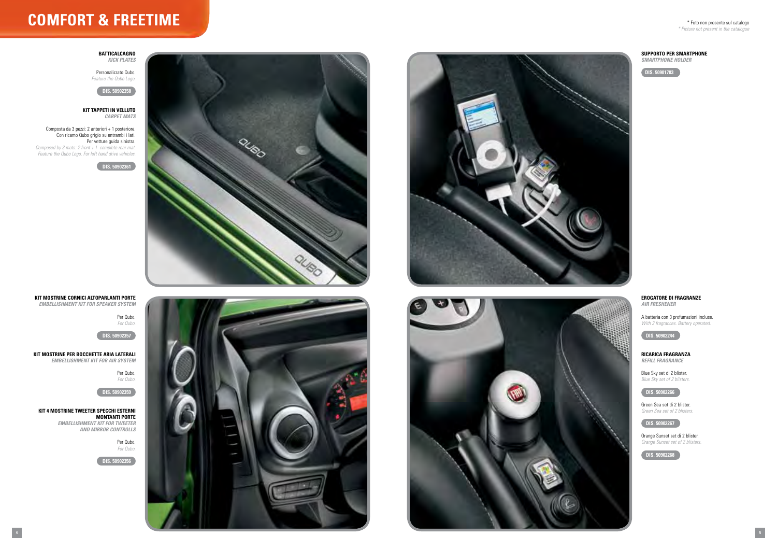

# \* Foto non presente sul catalogo

*\* Picture not present in the catalogue*



# **comfort & freetime**

**B** *Kick Plates*

## **Supporto per Smartphone**

*Smartphone holder* 

**DIS. 50901703**

Personalizzato Qubo. *Feature the Qubo Logo.*

**DIS. 50902358**

#### **kit tappeti in velluto**  *Carpet Mats*

Composta da 3 pezzi: 2 anteriori + 1 posteriore. Con ricamo Qubo grigio su entrambi i lati. Per vetture guida sinistra.

*Composed by 3 mats: 2 front + 1 complete rear mat. Feature the Qubo Logo. For left hand drive vehicles.*

**DIS. 50902361**



# **Erogatore di fragranze**

*Air freshener* 

A batteria con 3 profumazioni incluse. *With 3 fragrances. Battery operated.*

**DIS. 50902244**

### **Ricarica fragranza** *refill fragrance*

Blue Sky set di 2 blister. *Blue Sky set of 2 blisters.*

# **DIS. 50902266**

Green Sea set di 2 blister. *Green Sea set of 2 blisters.*

### **DIS. 50902267**

Orange Sunset set di 2 blister. *Orange Sunset set of 2 blisters.*

**DIS. 50902268**



*Embellishment Kit for speaker system*

Per Qubo.

*For Qubo.*

**DIS. 50902357**

**Kit mostrine per bocchette aria laterali** *Embellishment Kit for Air System*

> Per Qubo. *For Qubo.*

**DIS. 50902359**

# **Kit 4 Mostrine Tweeter Specchi Esterni Montanti Porte**

*Embellishment Kit for tweeter and mirror controlls*

> Per Qubo. *For Qubo.*

**DIS. 50902356**



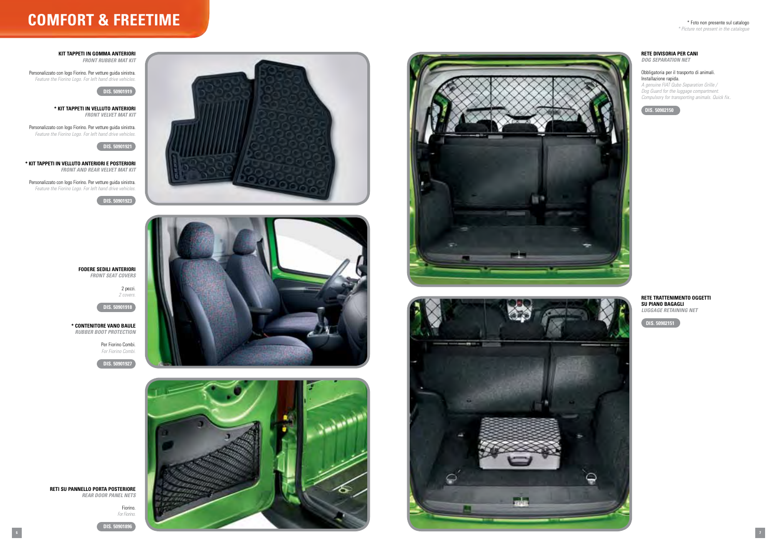





# \* Foto non presente sul catalogo

*\* Picture not present in the catalogue*



# **comfort & freetime**

**kit tappeti in gomma ANTERIORI** *Front rubber mat kit*

Personalizzato con logo Fiorino. Per vetture guida sinistra. *Feature the Fiorino Logo. For left hand drive vehicles.*

**DIS. 50901919**

**\* kit Tappeti in velluto anteriori** *Front velvet mat kit*

Personalizzato con logo Fiorino. Per vetture guida sinistra. *Feature the Fiorino Logo. For left hand drive vehicles.*



**\* kit Tappeti in velluto anteriori e posteriori** *Front and rear velvet mat kit*

Personalizzato con logo Fiorino. Per vetture guida sinistra. *Feature the Fiorino Logo. For left hand drive vehicles.*

**DIS. 50901923**



2 pezzi. *2 covers.*

**DIS. 50901918**

**\* CONTENITORE VANO BAULE** *Rubber boot protection*

> Per Fiorino Combi. *For Fiorino Combi.*

**DIS. 50901927**





**RETI SU PANNELLO PORTA POSTERIORE** *Rear door panel nets*

> Fiorino. *For Fiorino.*

**DIS. 50901896**

#### **RETE DIVISORIA Per Cani** *Dog separation net*

#### Obbligatoria per il trasporto di animali. Installazione rapida.

*A genuine FIAT Qubo Separation Grille / Dog Guard for the luggage compartment. Compulsory for transporting animals. Quick fix..*



# **Rete trattenimento oggetti su piano bagagli**

*Luggage retaining net*

**DIS. 50902151**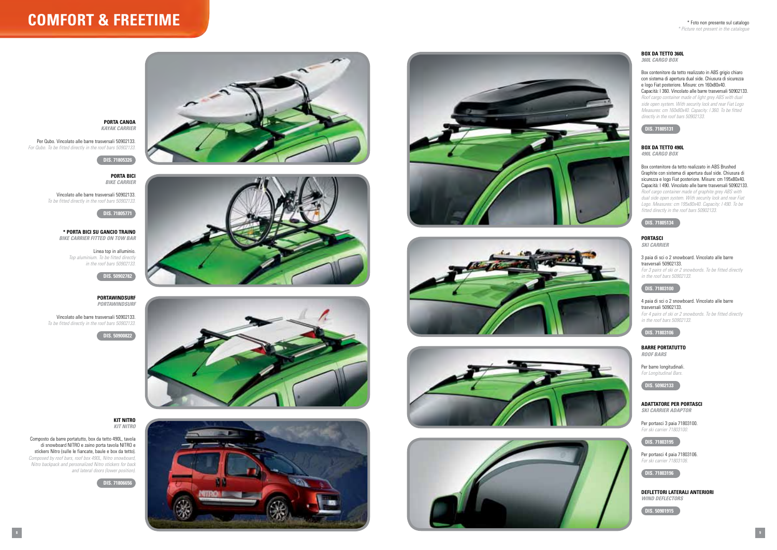# **comfort & freetime**



# **PORTA CANOA** *Kayak Carrier*

Per Qubo. Vincolato alle barre trasversali 50902133. *For Qubo. To be fitted directly in the roof bars 50902133.*

# **DIS. 71805326**

**PORTA bici**  *bike Carrier* 

Vincolato alle barre trasversali 50902133. *To be fitted directly in the roof bars 50902133.*

## **DIS. 71805771**

**\* PORTA BICI SU GANCIO TRAINO** *Bike carrier fitted on tow bar* 

> Linea top in alluminio. *Top aluminium. To be fitted directly in the roof bars 50902133.*

### **BARRE PORTATUTTO** *Roof Bars*

# **DIS. 50902782**

#### **Portawindsurf** *Portawindsurf*

#### **Adattatore per Portasci** *SKI CARRIER ADAPTOR*

Vincolato alle barre trasversali 50902133.



**DIS. 50900822**





### **BOX DA TETTO 360L** *360L Cargo box*

Composto da barre portatutto, box da tetto 490L, tavola di snowboard NITRO e zaino porta tavola NITRO e stickers Nitro (sulle le fiancate, baule e box da tetto). *Composed by roof bars, roof box 490L, Nitro snowboard, Nitro backpack and personalized Nitro stickers for back and lateral doors (lower position).*

**DIS. 71806656**









Per barre longitudinali. *For Longitudinal Bars.*



**BOX DA TETTO 360L**<br> **DISOL CARGO BOX**<br> **Box contenitore da tettor sistema di apertura**<br> **DISOL CARGO BOX**<br> **Box contenitore da tettor islands**<br> **DIS. 71805131**<br> **Roof cargo container nimetally in the roof bar,**<br> **DIS. 718** Box contenitore da tetto realizzato in ABS Brushed Graphite con sistema di apertura dual side. Chiusura di sicurezza e logo Fiat posteriore. Misure: cm 195x80x40. Capacità: l 490. Vincolato alle barre trasversali 50902133. *Roof cargo container made of graphite grey ABS with dual side open system. With security lock and rear Fiat Logo. Measures: cm 195x80x40. Capacity: l 490. To be fitted directly in the roof bars 50902133.*

Per portasci 3 paia 71803100. *For ski carrier 71803100.*



Per portasci 4 paia 71803106. *For ski carrier 71803106.*

**DIS. 71803196**

**Deflettori laterali anteriori** *Wind deflectors*

DIS. 50901915

Box contenitore da tetto realizzato in ABS grigio chiaro con sistema di apertura dual side. Chiusura di sicurezza e logo Fiat posteriore. Misure: cm 160x80x40. Capacità: l 360. Vincolato alle barre trasversali 50902133. *Roof cargo container made of light grey ABS with dual side open system. With security lock and rear Fiat Logo Measures: cm 160x80x40. Capacity: l 360. To be fitted directly in the roof bars 50902133.*



### **Box da tetto 490L** *490L Cargo box*





*Ski carrier* 

3 paia di sci o 2 snowboard. Vincolato alle barre trasversali 50902133. *For 3 pairs of ski or 2 snowbords. To be fitted directly in the roof bars 50902133.*

# **DIS. 71803100**

4 paia di sci o 2 snowboard. Vincolato alle barre trasversali 50902133. *For 4 pairs of ski or 2 snowbords. To be fitted directly in the roof bars 50902133.*

# **DIS. 71803106**